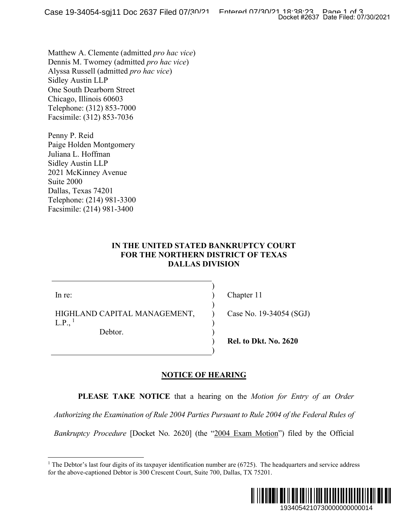Matthew A. Clemente (admitted *pro hac vice*) Dennis M. Twomey (admitted *pro hac vice*) Alyssa Russell (admitted *pro hac vice*) Sidley Austin LLP One South Dearborn Street Chicago, Illinois 60603 Telephone: (312) 853-7000 Facsimile: (312) 853-7036

Penny P. Reid Paige Holden Montgomery Juliana L. Hoffman Sidley Austin LLP 2021 McKinney Avenue Suite 2000 Dallas, Texas 74201 Telephone: (214) 981-3300 Facsimile: (214) 981-3400

## **IN THE UNITED STATED BANKRUPTCY COURT FOR THE NORTHERN DISTRICT OF TEXAS DALLAS DIVISION**

) ) )  $\lambda$ ) ) ) )

In re:

HIGHLAND CAPITAL MANAGEMENT,  $L.P.,<sup>1</sup>$  $L.P.,<sup>1</sup>$  $L.P.,<sup>1</sup>$ 

Debtor.

Chapter 11

Case No. 19-34054 (SGJ)

**Rel. to Dkt. No. 2620**

## **NOTICE OF HEARING**

**PLEASE TAKE NOTICE** that a hearing on the *Motion for Entry of an Order* 

*Authorizing the Examination of Rule 2004 Parties Pursuant to Rule 2004 of the Federal Rules of* 

<span id="page-0-0"></span>*Bankruptcy Procedure* [Docket No. 2620] (the "2004 Exam Motion") filed by the Official

<sup>&</sup>lt;sup>1</sup> The Debtor's last four digits of its taxpayer identification number are  $(6725)$ . The headquarters and service address for the above-captioned Debtor is 300 Crescent Court, Suite 700, Dallas, TX 75201.

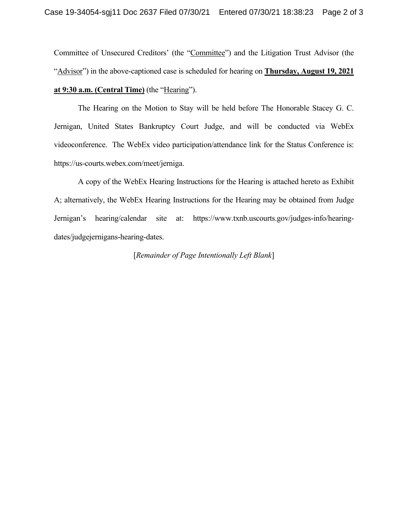Committee of Unsecured Creditors' (the "Committee") and the Litigation Trust Advisor (the "Advisor") in the above-captioned case is scheduled for hearing on **Thursday, August 19, 2021 at 9:30 a.m. (Central Time)** (the "Hearing").

The Hearing on the Motion to Stay will be held before The Honorable Stacey G. C. Jernigan, United States Bankruptcy Court Judge, and will be conducted via WebEx videoconference. The WebEx video participation/attendance link for the Status Conference is: https://us-courts.webex.com/meet/jerniga.

A copy of the WebEx Hearing Instructions for the Hearing is attached hereto as Exhibit A; alternatively, the WebEx Hearing Instructions for the Hearing may be obtained from Judge Jernigan's hearing/calendar site at: https://www.txnb.uscourts.gov/judges-info/hearingdates/judgejernigans-hearing-dates.

[*Remainder of Page Intentionally Left Blank*]